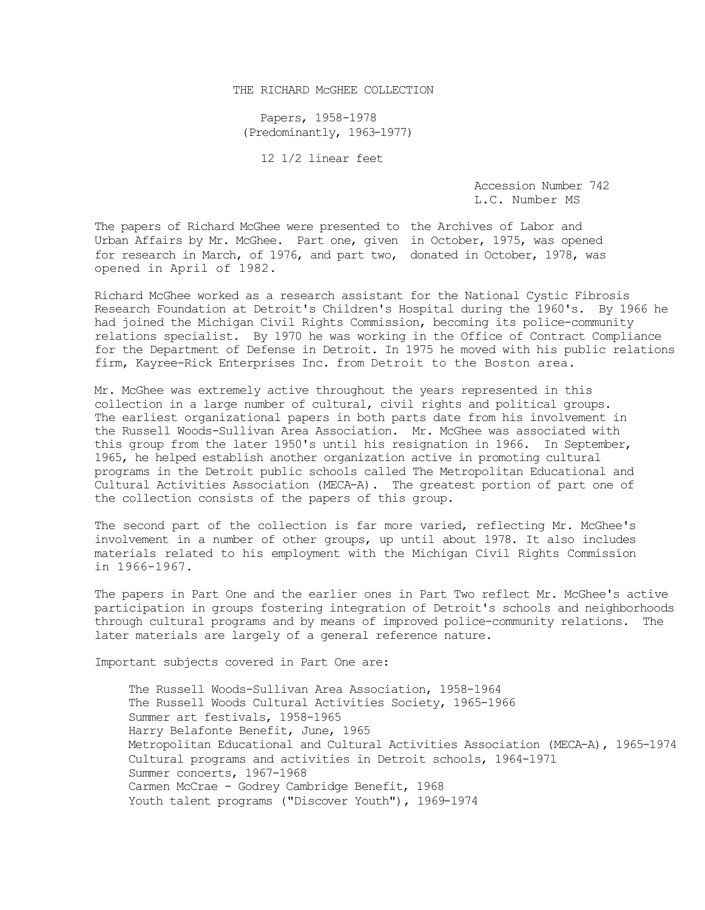## THE RICHARD MCGHEE COLLECTION

Papers, 1958-1978 (Predominantly, 1963-1977)

12 1/2 linear feet

Accession Number 742 L.C. Number MS

The papers of Richard McGhee were presented to the Archives of Labor and Urban Affairs by Mr. McGhee. Part one, given in October, 1975, was opened for research in March, of 1976, and part two, donated in October, 1978, was opened in April of 1982.

Richard McGhee worked as a research assistant for the National Cystic Fibrosis Research Foundation at Detroit's Children's Hospital during the 1960's. By 1966 he had joined the Michigan Civil Rights Commission, becoming its police-community relations specialist. By 1970 he was working in the Office of Contract Compliance for the Department of Defense in Detroit. In 1975 he moved with his public relations firm, Kayree-Rick Enterprises Inc. from Detroit to the Boston area.

Mr. McGhee was extremely active throughout the years represented in this collection in a large number of cultural, civil rights and political groups. The earliest organizational papers in both parts date from his involvement in the Russell Woods-Sullivan Area Association. Mr. McGhee was associated with this group from the later 1950's until his resignation in 1966. In September, 1965, he helped establish another organization active in promoting cultural programs in the Detroit public schools called The Metropolitan Educational and Cultural Activities Association (MECA-A). The greatest portion of part one of the collection consists of the papers of this group.

The second part of the collection is far more varied, reflecting Mr. McGhee's involvement in a number of other groups, up until about 1978. It also includes materials related to his employment with the Michigan Civil Rights Commission in 1966-1967.

The papers in Part One and the earlier ones in Part Two reflect Mr. McGhee's active participation in groups fostering integration of Detroit's schools and neighborhoods through cultural programs and by means of improved police-community relations. The later materials are largely of a general reference nature.

Important subjects covered in Part One are:

The Russell Woods-Sullivan Area Association, 1958-1964 The Russell Woods Cultural Activities Society, 1965-1966 Summer art festivals, 1958-1965 Harry Belafonte Benefit, June, 1965 Metropolitan Educational and Cultural Activities Association (MECA-A), 1965-1974 Cultural programs and activities in Detroit schools, 1964-1971 Summer concerts, 1967-1968 Carmen McCrae - Godrey Cambridge Benefit, 1968 Youth talent programs ("Discover Youth"), 1969-1974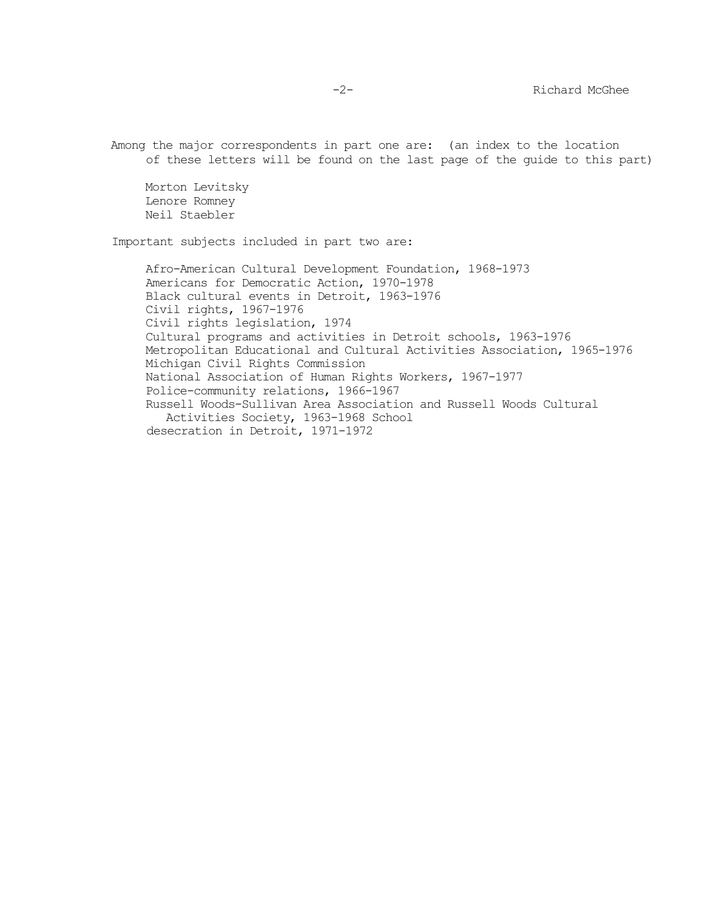Among the major correspondents in part one are: (an index to the location of these letters will be found on the last page of the guide to this part)

Morton Levitsky Lenore Romney Neil Staebler

Important subjects included in part two are:

Afro-American Cultural Development Foundation, 1968-1973 Americans for Democratic Action, 1970-1978 Black cultural events in Detroit, 1963-1976 Civil rights, 1967-1976 Civil rights legislation, 1974 Cultural programs and activities in Detroit schools, 1963-1976 Metropolitan Educational and Cultural Activities Association, 1965-1976 Michigan Civil Rights Commission National Association of Human Rights Workers, 1967-1977 Police-community relations, 1966-1967 Russell Woods-Sullivan Area Association and Russell Woods Cultural Activities Society, 1963-1968 School desecration in Detroit, 1971-1972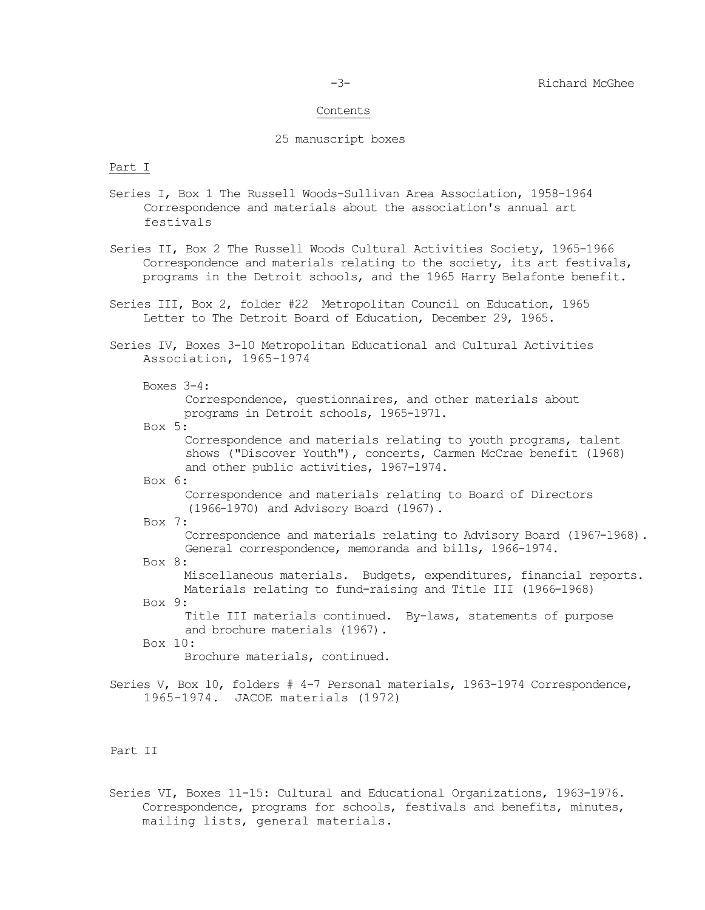#### Contents

#### 25 manuscript boxes

#### Part I

- Series I, Box 1 The Russell Woods-Sullivan Area Association, 1958-1964 Correspondence and materials about the association's annual art festivals
- Series II, Box 2 The Russell Woods Cultural Activities Society, 1965-1966 Correspondence and materials relating to the society, its art festivals, programs in the Detroit schools, and the 1965 Harry Belafonte benefit.
- Series III, Box 2, folder #22 Metropolitan Council on Education, 1965 Letter to The Detroit Board of Education, December 29, 1965.
- Series IV, Boxes 3-10 Metropolitan Educational and Cultural Activities Association, 1965-1974

Boxes 3-4:

Correspondence, questionnaires, and other materials about programs in Detroit schools, 1965-1971.

Box 5:

Correspondence and materials relating to youth programs, talent shows ("Discover Youth"), concerts, Carmen McCrae benefit (1968) and other public activities, 1967-1974.

Box 6:

Correspondence and materials relating to Board of Directors (1966-1970) and Advisory Board (1967).

Box 7:

Correspondence and materials relating to Advisory Board (1967-1968). General correspondence, memoranda and bills, 1966-1974.

Box 8:

Miscellaneous materials. Budgets, expenditures, financial reports. Materials relating to fund-raising and Title III (1966-1968)

Box 9:

Title III materials continued. By-laws, statements of purpose and brochure materials (1967).

Box 10:

Brochure materials, continued.

Series V, Box 10, folders # 4-7 Personal materials, 1963-1974 Correspondence, 1965-1974. JACOE materials (1972)

## Part II

Series VI, Boxes 11-15: Cultural and Educational Organizations, 1963-1976. Correspondence, programs for schools, festivals and benefits, minutes, mailing lists, general materials.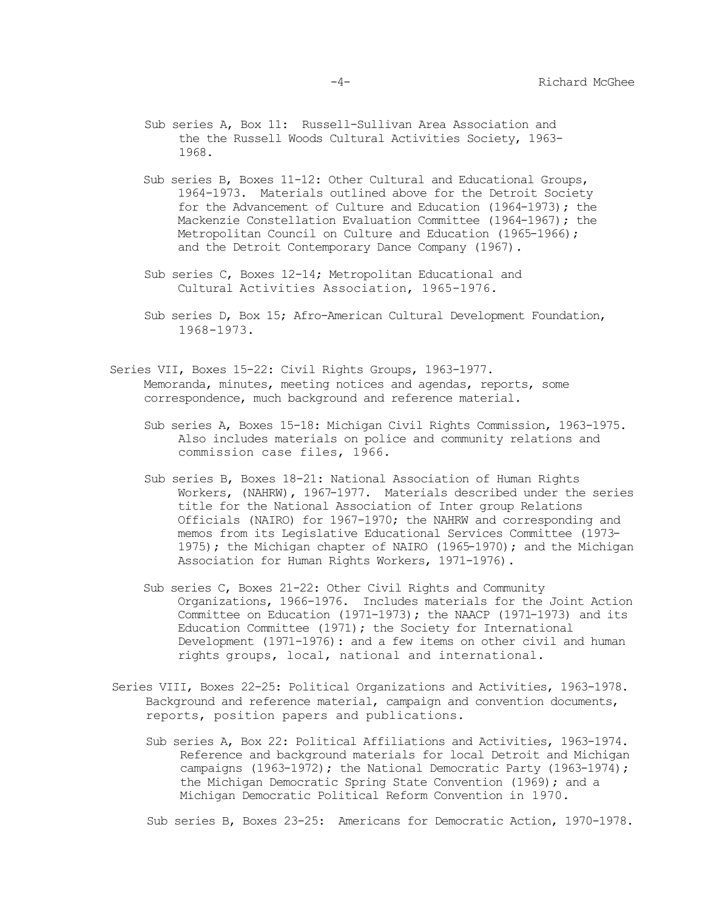- Sub series A, Box 11: Russell-Sullivan Area Association and the the Russell Woods Cultural Activities Society, 1963- 1968.
- Sub series B, Boxes 11-12: Other Cultural and Educational Groups, 1964-1973. Materials outlined above for the Detroit Society for the Advancement of Culture and Education (1964-1973); the Mackenzie Constellation Evaluation Committee (1964-1967); the Metropolitan Council on Culture and Education (1965-1966); and the Detroit Contemporary Dance Company (1967).
- Sub series C, Boxes 12-14; Metropolitan Educational and Cultural Activities Association, 1965-1976.
- Sub series D, Box 15; Afro-American Cultural Development Foundation, 1968-1973.
- Series VII, Boxes 15-22: Civil Rights Groups, 1963-1977. Memoranda, minutes, meeting notices and agendas, reports, some correspondence, much background and reference material.
	- Sub series A, Boxes 15-18: Michigan Civil Rights Commission, 1963-1975. Also includes materials on police and community relations and commission case files, 1966.
	- Sub series B, Boxes 18-21: National Association of Human Rights Workers, (NAHRW), 1967-1977. Materials described under the series title for the National Association of Inter group Relations Officials (NAIRO) for 1967-1970; the NAHRW and corresponding and memos from its Legislative Educational Services Committee (1973- 1975); the Michigan chapter of NAIRO (1965-1970); and the Michigan Association for Human Rights Workers, 1971-1976).
	- Sub series C, Boxes 21-22: Other Civil Rights and Community Organizations, 1966-1976. Includes materials for the Joint Action Committee on Education (1971-1973); the NAACP (1971-1973) and its Education Committee (1971); the Society for International Development (1971-1976): and a few items on other civil and human rights groups, local, national and international.
- Series VIII, Boxes 22-25: Political Organizations and Activities, 1963-1978. Background and reference material, campaign and convention documents, reports, position papers and publications.
	- Sub series A, Box 22: Political Affiliations and Activities, 1963-1974. Reference and background materials for local Detroit and Michigan campaigns (1963-1972); the National Democratic Party (1963-1974); the Michigan Democratic Spring State Convention (1969); and a Michigan Democratic Political Reform Convention in 1970.

Sub series B, Boxes 23-25: Americans for Democratic Action, 1970-1978.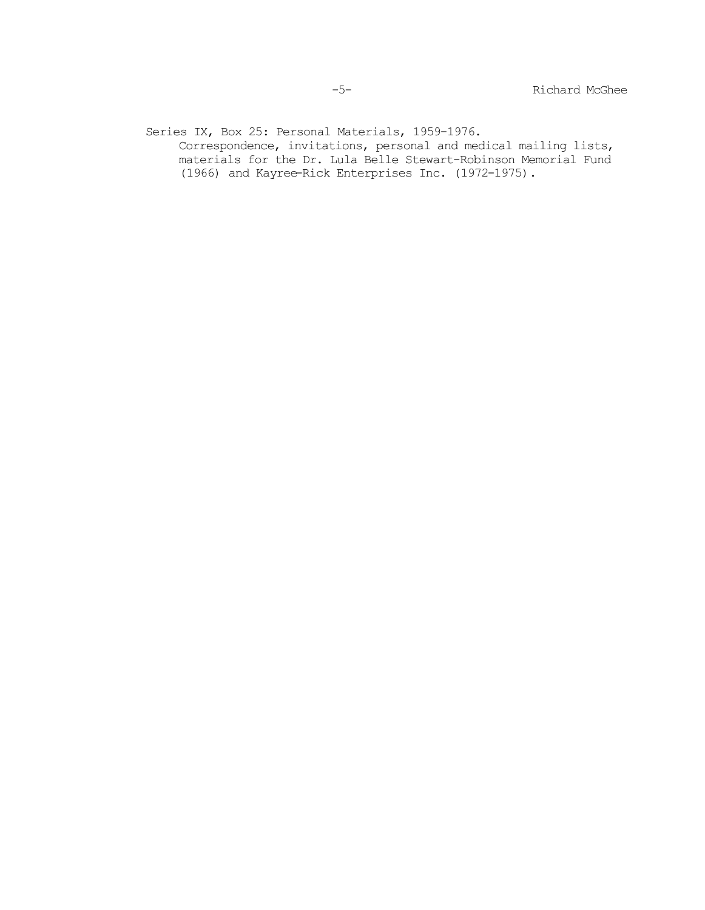Series IX, Box 25: Personal Materials, 1959-1976.

Correspondence, invitations, personal and medical mailing lists, materials for the Dr. Lula Belle Stewart-Robinson Memorial Fund (1966) and Kayree-Rick Enterprises Inc. (1972-1975).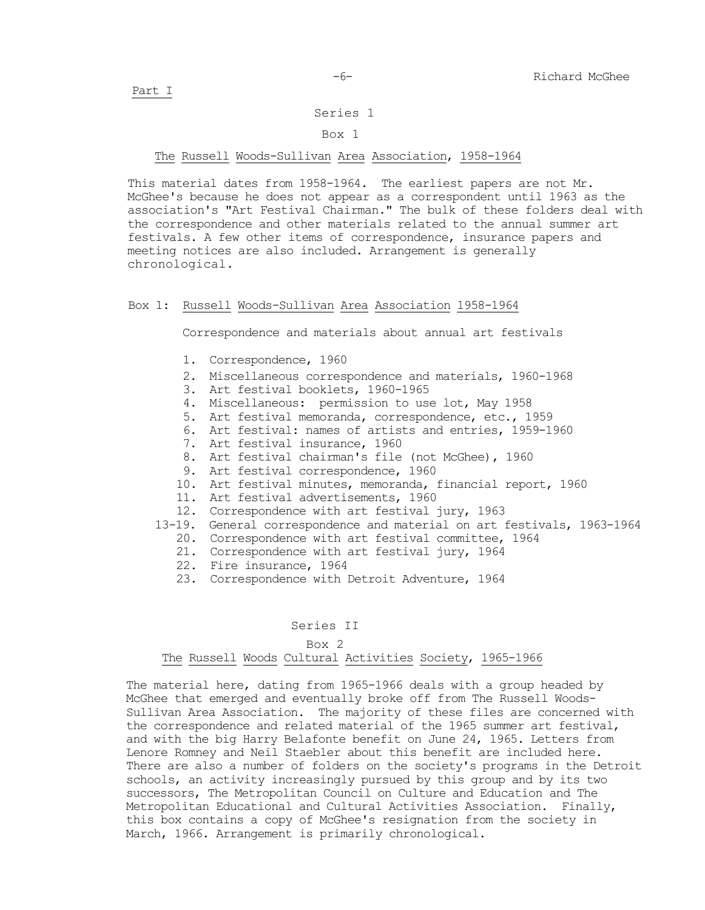### Series 1

#### Box 1

## The Russell Woods-Sullivan Area Association, 1958-1964

This material dates from 1958-1964. The earliest papers are not Mr. McGhee's because he does not appear as a correspondent until 1963 as the association's "Art Festival Chairman." The bulk of these folders deal with the correspondence and other materials related to the annual summer art festivals. A few other items of correspondence, insurance papers and meeting notices are also included. Arrangement is generally chronological.

# Box 1: Russell Woods-Sullivan Area Association 1958-1964

Correspondence and materials about annual art festivals

- 1. Correspondence, 1960
- 2. Miscellaneous correspondence and materials, 1960-1968
- 3. Art festival booklets, 1960-1965
- 4. Miscellaneous: permission to use lot, May 1958
- 5. Art festival memoranda, correspondence, etc., 1959
- 6. Art festival: names of artists and entries, 1959-1960
- 7. Art festival insurance, 1960
- 8. Art festival chairman's file (not McGhee), 1960
- 9. Art festival correspondence, 1960
- 10. Art festival minutes, memoranda, financial report, 1960
- 11. Art festival advertisements, 1960
- 12. Correspondence with art festival jury, 1963
- 13-19. General correspondence and material on art festivals, 1963-1964
	- 20. Correspondence with art festival committee, 1964
	- 21. Correspondence with art festival jury, 1964
	- 22. Fire insurance, 1964
	- 23. Correspondence with Detroit Adventure, 1964

### Series II

## Box 2 The Russell Woods Cultural Activities Society, 1965-1966

The material here, dating from 1965-1966 deals with a group headed by McGhee that emerged and eventually broke off from The Russell Woods-Sullivan Area Association. The majority of these files are concerned with the correspondence and related material of the 1965 summer art festival, and with the big Harry Belafonte benefit on June 24, 1965. Letters from Lenore Romney and Neil Staebler about this benefit are included here. There are also a number of folders on the society's programs in the Detroit schools, an activity increasingly pursued by this group and by its two successors, The Metropolitan Council on Culture and Education and The Metropolitan Educational and Cultural Activities Association. Finally, this box contains a copy of McGhee's resignation from the society in March, 1966. Arrangement is primarily chronological.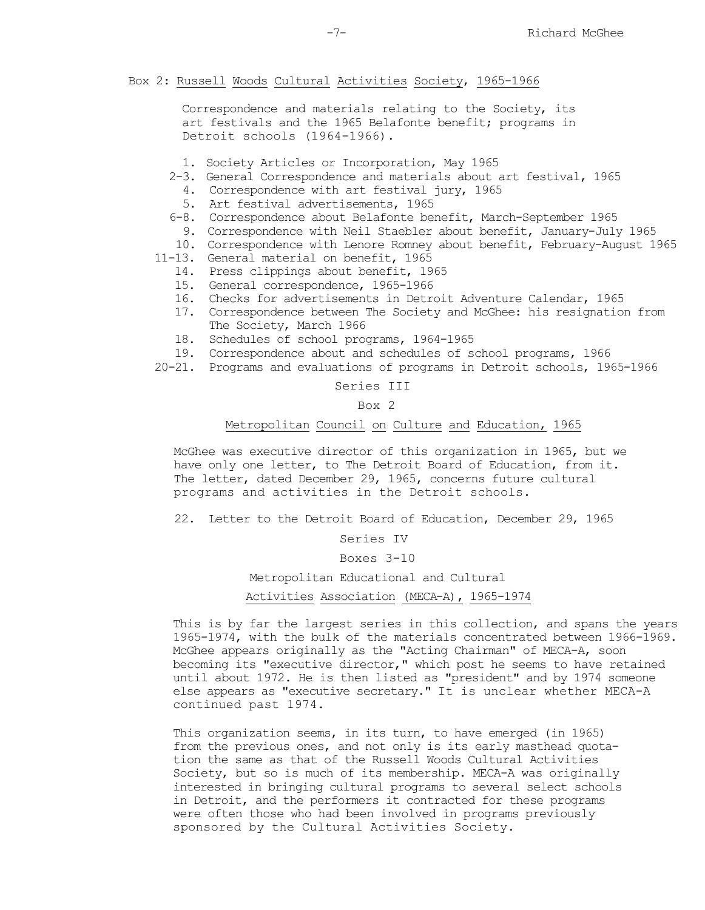### Box 2: Russell Woods Cultural Activities Society, 1965-1966

Correspondence and materials relating to the Society, its art festivals and the 1965 Belafonte benefit; programs in Detroit schools (1964-1966).

- 1. Society Articles or Incorporation, May 1965
- 2-3. General Correspondence and materials about art festival, 1965
	- 4. Correspondence with art festival jury, 1965
	- 5. Art festival advertisements, 1965
- 6-8. Correspondence about Belafonte benefit, March-September 1965
	- 9. Correspondence with Neil Staebler about benefit, January-July 1965
- 10. Correspondence with Lenore Romney about benefit, February-August 1965
- 11-13. General material on benefit, 1965
	- 14. Press clippings about benefit, 1965
	- 15. General correspondence, 1965-1966
	- 16. Checks for advertisements in Detroit Adventure Calendar, 1965
	- 17. Correspondence between The Society and McGhee: his resignation from The Society, March 1966
	- 18. Schedules of school programs, 1964-1965
	- 19. Correspondence about and schedules of school programs, 1966
- 20-21. Programs and evaluations of programs in Detroit schools, 1965-1966

Series III

Box 2

## Metropolitan Council on Culture and Education, 1965

McGhee was executive director of this organization in 1965, but we have only one letter, to The Detroit Board of Education, from it. The letter, dated December 29, 1965, concerns future cultural programs and activities in the Detroit schools.

22. Letter to the Detroit Board of Education, December 29, 1965

Series IV

Boxes 3-10

Metropolitan Educational and Cultural

#### Activities Association (MECA-A), 1965-1974

This is by far the largest series in this collection, and spans the years 1965-1974, with the bulk of the materials concentrated between 1966-1969. McGhee appears originally as the "Acting Chairman" of MECA-A, soon becoming its "executive director," which post he seems to have retained until about 1972. He is then listed as "president" and by 1974 someone else appears as "executive secretary." It is unclear whether MECA-A continued past 1974.

This organization seems, in its turn, to have emerged (in 1965) from the previous ones, and not only is its early masthead quotation the same as that of the Russell Woods Cultural Activities Society, but so is much of its membership. MECA-A was originally interested in bringing cultural programs to several select schools in Detroit, and the performers it contracted for these programs were often those who had been involved in programs previously sponsored by the Cultural Activities Society.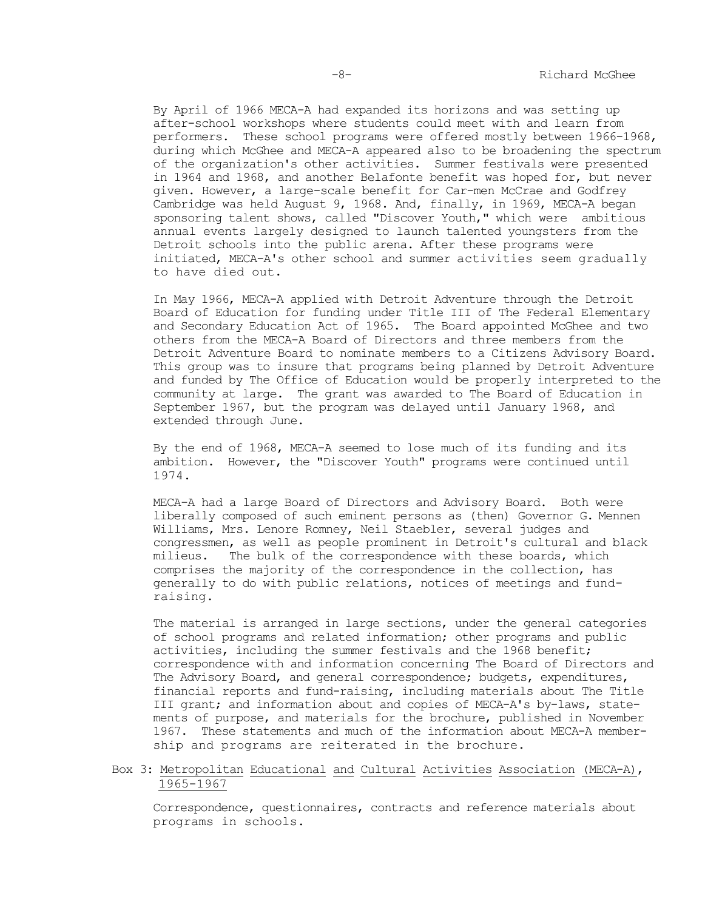By April of 1966 MECA-A had expanded its horizons and was setting up after-school workshops where students could meet with and learn from performers. These school programs were offered mostly between 1966-1968, during which McGhee and MECA-A appeared also to be broadening the spectrum of the organization's other activities. Summer festivals were presented in 1964 and 1968, and another Belafonte benefit was hoped for, but never given. However, a large-scale benefit for Car-men McCrae and Godfrey Cambridge was held August 9, 1968. And, finally, in 1969, MECA-A began sponsoring talent shows, called "Discover Youth," which were ambitious annual events largely designed to launch talented youngsters from the Detroit schools into the public arena. After these programs were initiated, MECA-A's other school and summer activities seem gradually to have died out.

In May 1966, MECA-A applied with Detroit Adventure through the Detroit Board of Education for funding under Title III of The Federal Elementary and Secondary Education Act of 1965. The Board appointed McGhee and two others from the MECA-A Board of Directors and three members from the Detroit Adventure Board to nominate members to a Citizens Advisory Board. This group was to insure that programs being planned by Detroit Adventure and funded by The Office of Education would be properly interpreted to the community at large. The grant was awarded to The Board of Education in September 1967, but the program was delayed until January 1968, and extended through June.

By the end of 1968, MECA-A seemed to lose much of its funding and its ambition. However, the "Discover Youth" programs were continued until 1974.

MECA-A had a large Board of Directors and Advisory Board. Both were liberally composed of such eminent persons as (then) Governor G. Mennen Williams, Mrs. Lenore Romney, Neil Staebler, several judges and congressmen, as well as people prominent in Detroit's cultural and black milieus. The bulk of the correspondence with these boards, which comprises the majority of the correspondence in the collection, has generally to do with public relations, notices of meetings and fundraising.

The material is arranged in large sections, under the general categories of school programs and related information; other programs and public activities, including the summer festivals and the 1968 benefit; correspondence with and information concerning The Board of Directors and The Advisory Board, and general correspondence; budgets, expenditures, financial reports and fund-raising, including materials about The Title III grant; and information about and copies of MECA-A's by-laws, statements of purpose, and materials for the brochure, published in November 1967. These statements and much of the information about MECA-A membership and programs are reiterated in the brochure.

## Box 3: Metropolitan Educational and Cultural Activities Association (MECA-A), 1965-1967

Correspondence, questionnaires, contracts and reference materials about programs in schools.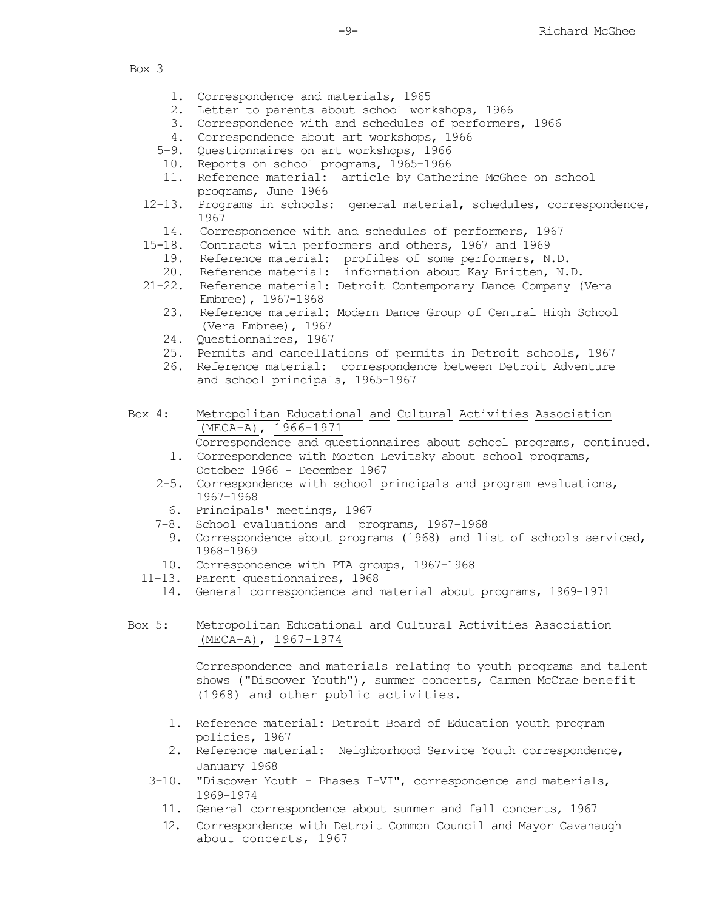- 1. Correspondence and materials, 1965
- 2. Letter to parents about school workshops, 1966
- 3. Correspondence with and schedules of performers, 1966
- 4. Correspondence about art workshops, 1966
- 5-9. Questionnaires on art workshops, 1966
- 10. Reports on school programs, 1965-1966
- 11. Reference material: article by Catherine McGhee on school programs, June 1966
- 12-13. Programs in schools: general material, schedules, correspondence, 1967
	- 14. Correspondence with and schedules of performers, 1967
- 15-18. Contracts with performers and others, 1967 and 1969
	- 19. Reference material: profiles of some performers, N.D.
	- 20. Reference material: information about Kay Britten, N.D.
- 21-22. Reference material: Detroit Contemporary Dance Company (Vera Embree), 1967-1968
	- 23. Reference material: Modern Dance Group of Central High School (Vera Embree), 1967
	- 24. Questionnaires, 1967
	- 25. Permits and cancellations of permits in Detroit schools, 1967
	- 26. Reference material: correspondence between Detroit Adventure and school principals, 1965-1967
- Box 4: Metropolitan Educational and Cultural Activities Association (MECA-A), 1966-1971 Correspondence and questionnaires about school programs, continued.
	- 1. Correspondence with Morton Levitsky about school programs, October 1966 - December 1967
	- 2-5. Correspondence with school principals and program evaluations, 1967-1968
	- 6. Principals' meetings, 1967
	- 7-8. School evaluations and programs, 1967-1968
		- 9. Correspondence about programs (1968) and list of schools serviced, 1968-1969
	- 10. Correspondence with PTA groups, 1967-1968
	- 11-13. Parent questionnaires, 1968
		- 14. General correspondence and material about programs, 1969-1971

## Box 5: Metropolitan Educational and Cultural Activities Association (MECA-A), 1967-1974

Correspondence and materials relating to youth programs and talent shows ("Discover Youth"), summer concerts, Carmen McCrae benefit (1968) and other public activities.

- 1. Reference material: Detroit Board of Education youth program policies, 1967
- 2. Reference material: Neighborhood Service Youth correspondence, January 1968
- 3-10. "Discover Youth Phases I-VI", correspondence and materials, 1969-1974
	- 11. General correspondence about summer and fall concerts, 1967
	- 12. Correspondence with Detroit Common Council and Mayor Cavanaugh about concerts, 1967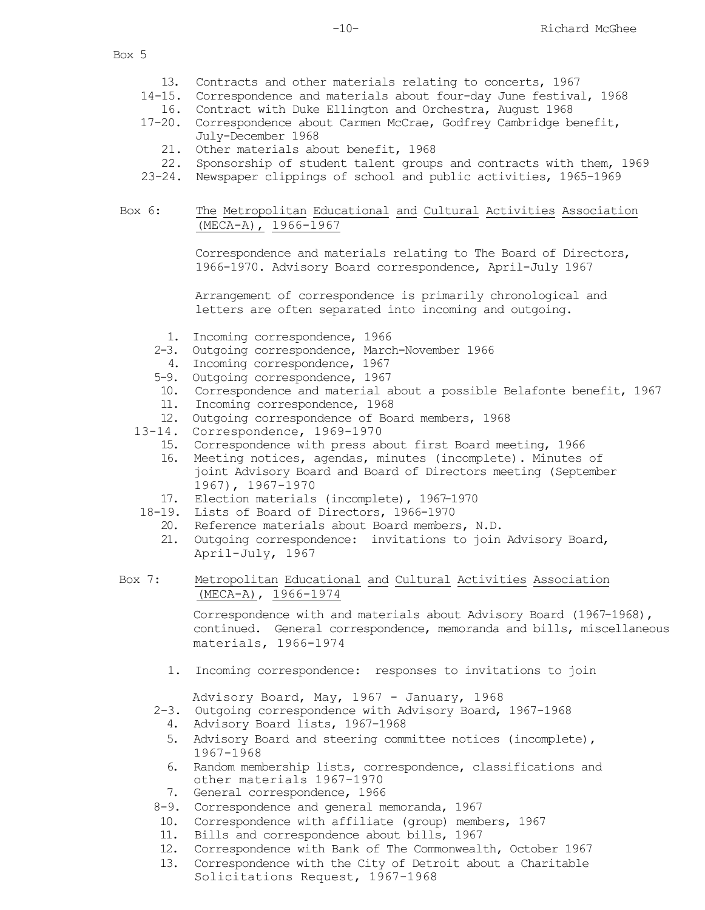- 13. Contracts and other materials relating to concerts, 1967
- 14-15. Correspondence and materials about four-day June festival, 1968
	- 16. Contract with Duke Ellington and Orchestra, August 1968
- 17-20. Correspondence about Carmen McCrae, Godfrey Cambridge benefit, July-December 1968
	- 21. Other materials about benefit, 1968
- 22. Sponsorship of student talent groups and contracts with them, 1969
- 23-24. Newspaper clippings of school and public activities, 1965-1969

## Box 6: The Metropolitan Educational and Cultural Activities Association (MECA-A), 1966-1967

Correspondence and materials relating to The Board of Directors, 1966-1970. Advisory Board correspondence, April-July 1967

Arrangement of correspondence is primarily chronological and letters are often separated into incoming and outgoing.

- 1. Incoming correspondence, 1966
- 2-3. Outgoing correspondence, March-November 1966
- 4. Incoming correspondence, 1967
- 5-9. Outgoing correspondence, 1967
- 10. Correspondence and material about a possible Belafonte benefit, 1967
- 11. Incoming correspondence, 1968
- 12. Outgoing correspondence of Board members, 1968
- 13-14. Correspondence, 1969-1970
	- 15. Correspondence with press about first Board meeting, 1966
	- 16. Meeting notices, agendas, minutes (incomplete). Minutes of joint Advisory Board and Board of Directors meeting (September 1967), 1967-1970
	- 17. Election materials (incomplete), 1967-1970
- 18-19. Lists of Board of Directors, 1966-1970
	- 20. Reference materials about Board members, N.D.
	- 21. Outgoing correspondence: invitations to join Advisory Board, April-July, 1967

# Box 7: Metropolitan Educational and Cultural Activities Association (MECA-A), 1966-1974

Correspondence with and materials about Advisory Board (1967-1968), continued. General correspondence, memoranda and bills, miscellaneous materials, 1966-1974

1. Incoming correspondence: responses to invitations to join

Advisory Board, May, 1967 - January, 1968

- 2-3. Outgoing correspondence with Advisory Board, 1967-1968
	- 4. Advisory Board lists, 1967-1968
	- 5. Advisory Board and steering committee notices (incomplete), 1967-1968
	- 6. Random membership lists, correspondence, classifications and other materials 1967-1970
	- 7. General correspondence, 1966
- 8-9. Correspondence and general memoranda, 1967
- 10. Correspondence with affiliate (group) members, 1967
- 11. Bills and correspondence about bills, 1967
- 12. Correspondence with Bank of The Commonwealth, October 1967
- 13. Correspondence with the City of Detroit about a Charitable Solicitations Request, 1967-1968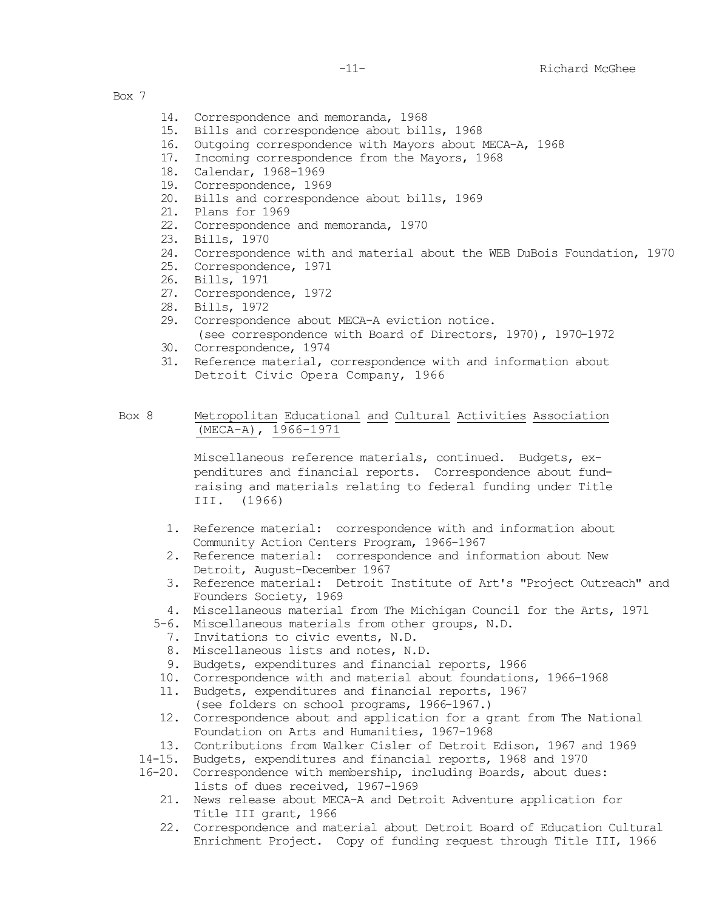- 14. Correspondence and memoranda, 1968
- 15. Bills and correspondence about bills, 1968
- 16. Outgoing correspondence with Mayors about MECA-A, 1968<br>17. Incoming correspondence from the Mayors, 1968
- Incoming correspondence from the Mayors, 1968
- 18. Calendar, 1968-1969
- 19. Correspondence, 1969
- 20. Bills and correspondence about bills, 1969
- 21. Plans for 1969
- 22. Correspondence and memoranda, 1970
- 23. Bills, 1970
- 24. Correspondence with and material about the WEB DuBois Foundation, 1970
- 25. Correspondence, 1971
- 26. Bills, 1971
- 27. Correspondence, 1972
- 28. Bills, 1972
- 29. Correspondence about MECA-A eviction notice.
- (see correspondence with Board of Directors, 1970), 1970-1972
- 30. Correspondence, 1974
- 31. Reference material, correspondence with and information about Detroit Civic Opera Company, 1966
- Box 8 Metropolitan Educational and Cultural Activities Association (MECA-A), 1966-1971

Miscellaneous reference materials, continued. Budgets, expenditures and financial reports. Correspondence about fundraising and materials relating to federal funding under Title III. (1966)

- 1. Reference material: correspondence with and information about Community Action Centers Program, 1966-1967
- 2. Reference material: correspondence and information about New Detroit, August-December 1967
- 3. Reference material: Detroit Institute of Art's "Project Outreach" and Founders Society, 1969
- 4. Miscellaneous material from The Michigan Council for the Arts, 1971
- 5-6. Miscellaneous materials from other groups, N.D.
	- 7. Invitations to civic events, N.D.
	- 8. Miscellaneous lists and notes, N.D.
	- 9. Budgets, expenditures and financial reports, 1966
- 10. Correspondence with and material about foundations, 1966-1968
- 11. Budgets, expenditures and financial reports, 1967 (see folders on school programs, 1966-1967.)
- 12. Correspondence about and application for a grant from The National Foundation on Arts and Humanities, 1967-1968
- 13. Contributions from Walker Cisler of Detroit Edison, 1967 and 1969
- 14-15. Budgets, expenditures and financial reports, 1968 and 1970
- 16-20. Correspondence with membership, including Boards, about dues: lists of dues received, 1967-1969
	- 21. News release about MECA-A and Detroit Adventure application for Title III grant, 1966
	- 22. Correspondence and material about Detroit Board of Education Cultural Enrichment Project. Copy of funding request through Title III, 1966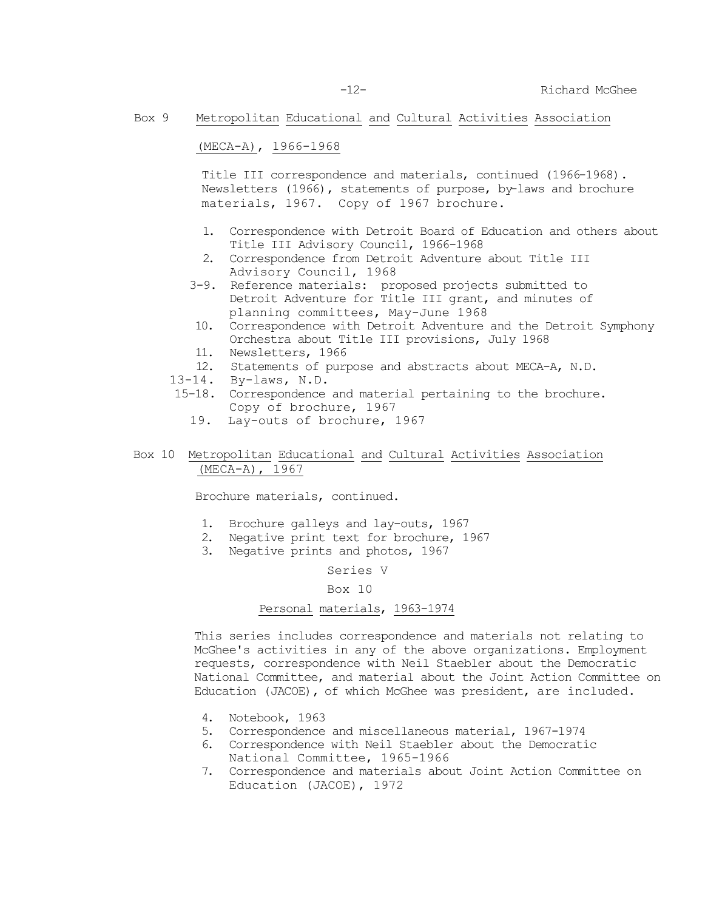-12- Richard McGhee

## Box 9 Metropolitan Educational and Cultural Activities Association

(MECA-A), 1966-1968

Title III correspondence and materials, continued (1966-1968). Newsletters (1966), statements of purpose, by-laws and brochure materials, 1967. Copy of 1967 brochure.

- 1. Correspondence with Detroit Board of Education and others about Title III Advisory Council, 1966-1968
- 2. Correspondence from Detroit Adventure about Title III Advisory Council, 1968
- 3-9. Reference materials: proposed projects submitted to Detroit Adventure for Title III grant, and minutes of planning committees, May-June 1968
- 10. Correspondence with Detroit Adventure and the Detroit Symphony Orchestra about Title III provisions, July 1968
- 11. Newsletters, 1966
- 12. Statements of purpose and abstracts about MECA-A, N.D.
- 13-14. By-laws, N.D.
- 15-18. Correspondence and material pertaining to the brochure. Copy of brochure, 1967
	- 19. Lay-outs of brochure, 1967
- Box 10 Metropolitan Educational and Cultural Activities Association (MECA-A), 1967

Brochure materials, continued.

- 1. Brochure galleys and lay-outs, 1967
- 2. Negative print text for brochure, 1967
- 3. Negative prints and photos, 1967

Series V

## Box 10

### Personal materials, 1963-1974

This series includes correspondence and materials not relating to McGhee's activities in any of the above organizations. Employment requests, correspondence with Neil Staebler about the Democratic National Committee, and material about the Joint Action Committee on Education (JACOE), of which McGhee was president, are included.

- 4. Notebook, 1963
- 5. Correspondence and miscellaneous material, 1967-1974
- 6. Correspondence with Neil Staebler about the Democratic National Committee, 1965-1966
- 7. Correspondence and materials about Joint Action Committee on Education (JACOE), 1972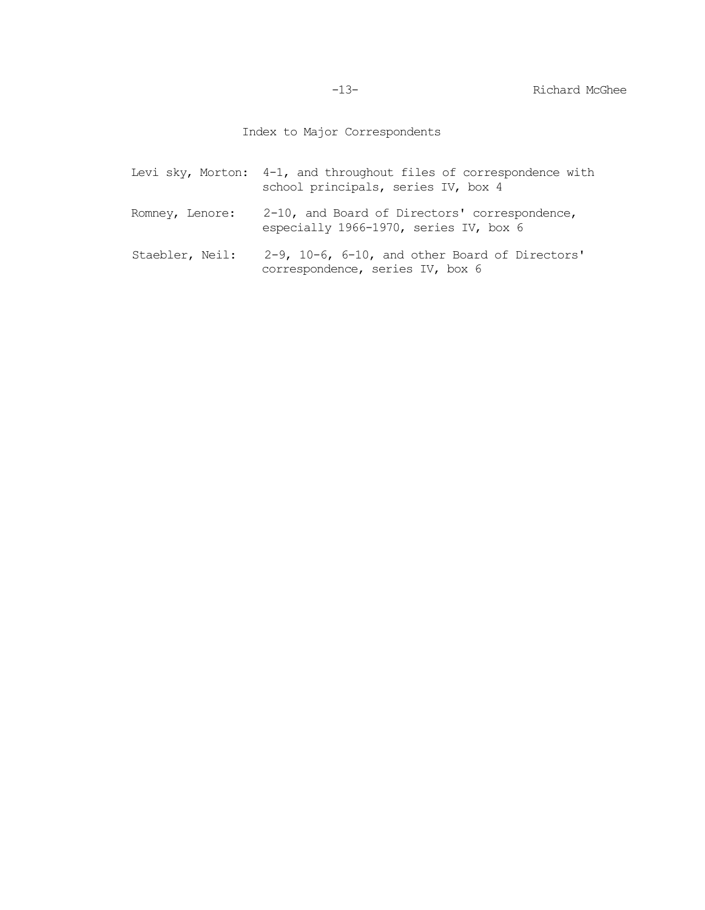Index to Major Correspondents

|                 | Levi sky, Morton: 4-1, and throughout files of correspondence with<br>school principals, series IV, box 4 |
|-----------------|-----------------------------------------------------------------------------------------------------------|
| Romney, Lenore: | 2-10, and Board of Directors' correspondence,<br>especially 1966-1970, series IV, box 6                   |
| Staebler, Neil: | $2-9$ , $10-6$ , $6-10$ , and other Board of Directors'<br>correspondence, series IV, box 6               |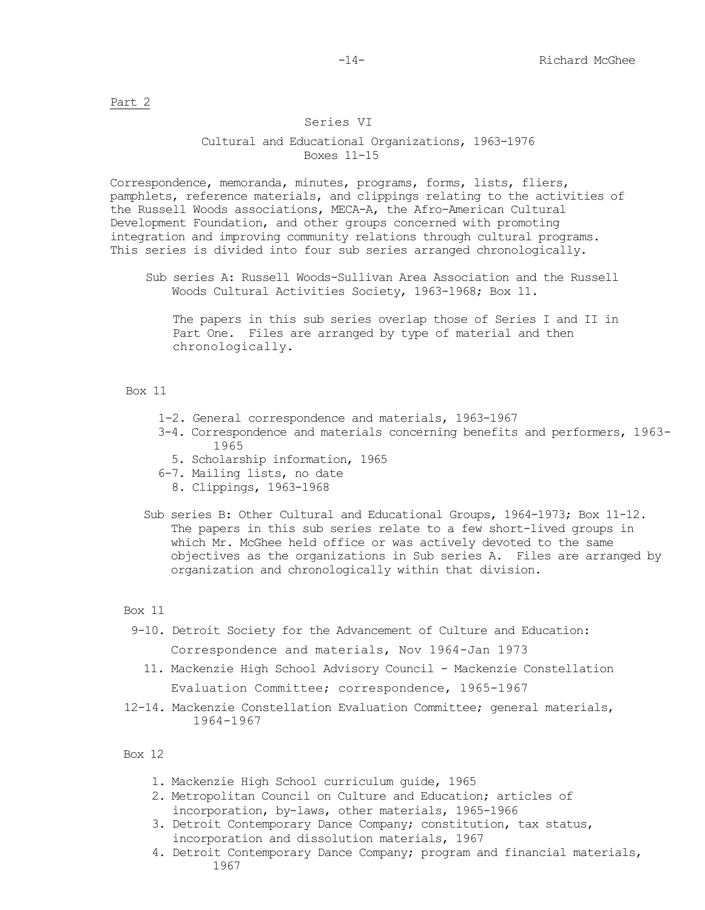Part 2

### Series VI

## Cultural and Educational Organizations, 1963-1976 Boxes 11-15

Correspondence, memoranda, minutes, programs, forms, lists, fliers, pamphlets, reference materials, and clippings relating to the activities of the Russell Woods associations, MECA-A, the Afro-American Cultural Development Foundation, and other groups concerned with promoting integration and improving community relations through cultural programs. This series is divided into four sub series arranged chronologically.

Sub series A: Russell Woods-Sullivan Area Association and the Russell Woods Cultural Activities Society, 1963-1968; Box 11.

The papers in this sub series overlap those of Series I and II in Part One. Files are arranged by type of material and then chronologically.

### Box 11

- 1-2. General correspondence and materials, 1963-1967
- 3-4. Correspondence and materials concerning benefits and performers, 1963- 1965
	- 5. Scholarship information, 1965
- 6-7. Mailing lists, no date
	- 8. Clippings, 1963-1968
- Sub series B: Other Cultural and Educational Groups, 1964-1973; Box 11-12. The papers in this sub series relate to a few short-lived groups in which Mr. McGhee held office or was actively devoted to the same objectives as the organizations in Sub series A. Files are arranged by organization and chronologically within that division.

## Box 11

- 9-10. Detroit Society for the Advancement of Culture and Education: Correspondence and materials, Nov 1964-Jan 1973
	- 11. Mackenzie High School Advisory Council Mackenzie Constellation Evaluation Committee; correspondence, 1965-1967
- 12-14. Mackenzie Constellation Evaluation Committee; general materials, 1964-1967

#### Box 12

- 1. Mackenzie High School curriculum guide, 1965
- 2. Metropolitan Council on Culture and Education; articles of incorporation, by-laws, other materials, 1965-1966
- 3. Detroit Contemporary Dance Company; constitution, tax status, incorporation and dissolution materials, 1967
- 4. Detroit Contemporary Dance Company; program and financial materials, 1967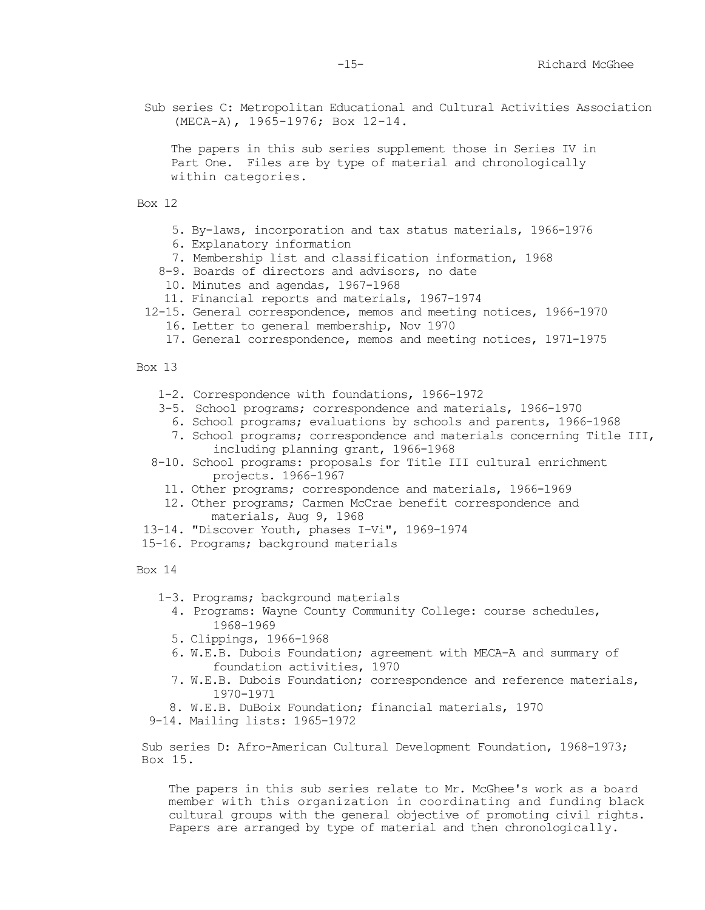Sub series C: Metropolitan Educational and Cultural Activities Association (MECA-A), 1965-1976; Box 12-14.

The papers in this sub series supplement those in Series IV in Part One. Files are by type of material and chronologically within categories.

Box 12

- 5. By-laws, incorporation and tax status materials, 1966-1976
- 6. Explanatory information
- 7. Membership list and classification information, 1968
- 8-9. Boards of directors and advisors, no date
- 10. Minutes and agendas, 1967-1968
- 11. Financial reports and materials, 1967-1974
- 12-15. General correspondence, memos and meeting notices, 1966-1970
	- 16. Letter to general membership, Nov 1970
	- 17. General correspondence, memos and meeting notices, 1971-1975

Box 13

- 1-2. Correspondence with foundations, 1966-1972
- 3-5. School programs; correspondence and materials, 1966-1970
	- 6. School programs; evaluations by schools and parents, 1966-1968
	- 7. School programs; correspondence and materials concerning Title III, including planning grant, 1966-1968
- 8-10. School programs: proposals for Title III cultural enrichment projects. 1966-1967
	- 11. Other programs; correspondence and materials, 1966-1969
	- 12. Other programs; Carmen McCrae benefit correspondence and materials, Aug 9, 1968
- 13-14. "Discover Youth, phases I-Vi", 1969-1974
- 15-16. Programs; background materials

Box 14

- 1-3. Programs; background materials
	- 4. Programs: Wayne County Community College: course schedules, 1968-1969
	- 5. Clippings, 1966-1968
	- 6. W.E.B. Dubois Foundation; agreement with MECA-A and summary of foundation activities, 1970
	- 7. W.E.B. Dubois Foundation; correspondence and reference materials, 1970-1971
- 8. W.E.B. DuBoix Foundation; financial materials, 1970
- 9-14. Mailing lists: 1965-1972

Sub series D: Afro-American Cultural Development Foundation, 1968-1973; Box 15.

The papers in this sub series relate to Mr. McGhee's work as a board member with this organization in coordinating and funding black cultural groups with the general objective of promoting civil rights. Papers are arranged by type of material and then chronologically.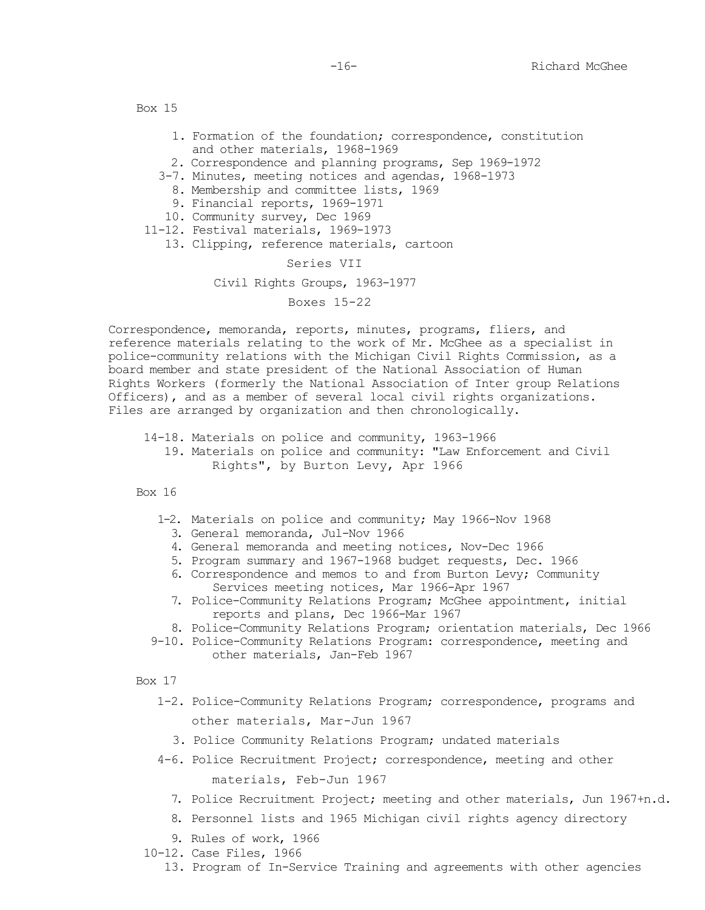- 1. Formation of the foundation; correspondence, constitution and other materials, 1968-1969
- 2. Correspondence and planning programs, Sep 1969-1972
- 3-7. Minutes, meeting notices and agendas, 1968-1973
	- 8. Membership and committee lists, 1969
	- 9. Financial reports, 1969-1971
- 10. Community survey, Dec 1969
- 11-12. Festival materials, 1969-1973
	- 13. Clipping, reference materials, cartoon

### Series VII

Civil Rights Groups, 1963-1977

Boxes 15-22

Correspondence, memoranda, reports, minutes, programs, fliers, and reference materials relating to the work of Mr. McGhee as a specialist in police-community relations with the Michigan Civil Rights Commission, as a board member and state president of the National Association of Human Rights Workers (formerly the National Association of Inter group Relations Officers), and as a member of several local civil rights organizations. Files are arranged by organization and then chronologically.

14-18. Materials on police and community, 1963-1966 19. Materials on police and community: "Law Enforcement and Civil Rights", by Burton Levy, Apr 1966

Box 16

- 1-2. Materials on police and community; May 1966-Nov 1968
	- 3. General memoranda, Jul-Nov 1966
	- 4. General memoranda and meeting notices, Nov-Dec 1966
	- 5. Program summary and 1967-1968 budget requests, Dec. 1966
	- 6. Correspondence and memos to and from Burton Levy; Community Services meeting notices, Mar 1966-Apr 1967
	- 7. Police-Community Relations Program; McGhee appointment, initial reports and plans, Dec 1966-Mar 1967
- 8. Police-Community Relations Program; orientation materials, Dec 1966
- 9-10. Police-Community Relations Program: correspondence, meeting and other materials, Jan-Feb 1967

Box 17

- 1-2. Police-Community Relations Program; correspondence, programs and other materials, Mar-Jun 1967
	- 3. Police Community Relations Program; undated materials
- 4-6. Police Recruitment Project; correspondence, meeting and other materials, Feb-Jun 1967
	- 7. Police Recruitment Project; meeting and other materials, Jun 1967+n.d.
	- 8. Personnel lists and 1965 Michigan civil rights agency directory
	- 9. Rules of work, 1966
- 10-12. Case Files, 1966

13. Program of In-Service Training and agreements with other agencies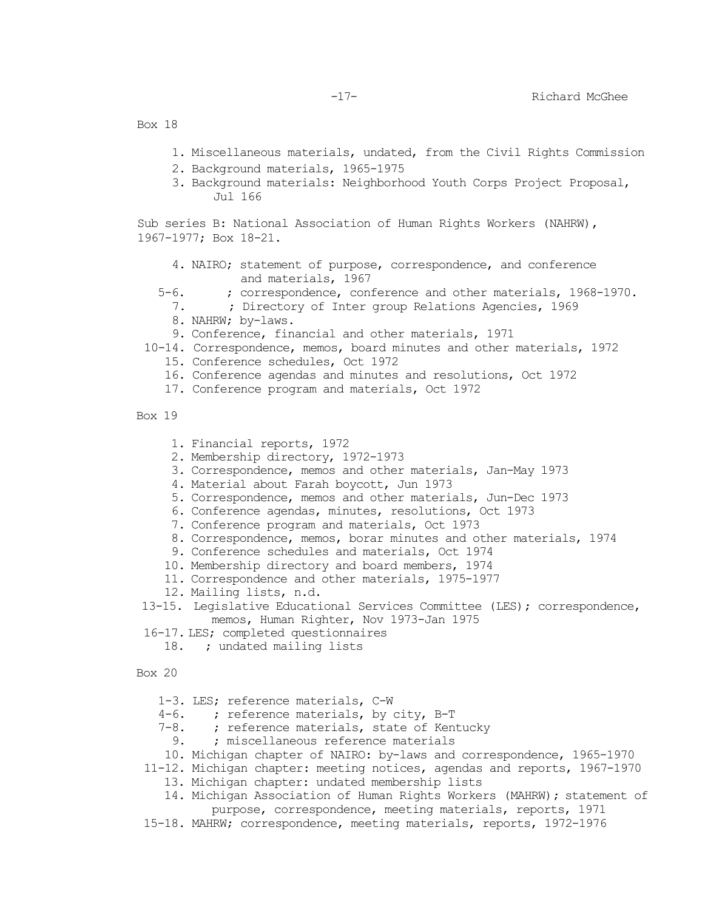- 1. Miscellaneous materials, undated, from the Civil Rights Commission
- 2. Background materials, 1965-1975
- 3. Background materials: Neighborhood Youth Corps Project Proposal, Jul 166

Sub series B: National Association of Human Rights Workers (NAHRW), 1967-1977; Box 18-21.

- 4. NAIRO; statement of purpose, correspondence, and conference and materials, 1967
- 5-6. ; correspondence, conference and other materials, 1968-1970.<br>7. ; Directory of Inter group Relations Agencies, 1969
	- 7. ; Directory of Inter group Relations Agencies, 1969
	- 8. NAHRW; by-laws.
	- 9. Conference, financial and other materials, 1971
- 10-14. Correspondence, memos, board minutes and other materials, 1972
	- 15. Conference schedules, Oct 1972
	- 16. Conference agendas and minutes and resolutions, Oct 1972
	- 17. Conference program and materials, Oct 1972
- Box 19
	- 1. Financial reports, 1972
	- 2. Membership directory, 1972-1973
	- 3. Correspondence, memos and other materials, Jan-May 1973
	- 4. Material about Farah boycott, Jun 1973
	- 5. Correspondence, memos and other materials, Jun-Dec 1973
	- 6. Conference agendas, minutes, resolutions, Oct 1973
	- 7. Conference program and materials, Oct 1973
	- 8. Correspondence, memos, borar minutes and other materials, 1974
	- 9. Conference schedules and materials, Oct 1974
	- 10. Membership directory and board members, 1974
	- 11. Correspondence and other materials, 1975-1977
	- 12. Mailing lists, n.d.
- 13-15. Legislative Educational Services Committee (LES); correspondence, memos, Human Righter, Nov 1973-Jan 1975
- 16-17. LES; completed questionnaires
	- 18. ; undated mailing lists

Box 20

- 1-3. LES; reference materials, C-W
- 4-6. ; reference materials, by city, B-T<br>7-8. ; reference materials, state of Ken
- 8. ; reference materials, state of Kentucky<br>9. ; miscellaneous reference materials
- 9. ; miscellaneous reference materials
- 10. Michigan chapter of NAIRO: by-laws and correspondence, 1965-1970
- 11-12. Michigan chapter: meeting notices, agendas and reports, 1967-1970
	- 13. Michigan chapter: undated membership lists
	- 14. Michigan Association of Human Rights Workers (MAHRW); statement of purpose, correspondence, meeting materials, reports, 1971
- 15-18. MAHRW; correspondence, meeting materials, reports, 1972-1976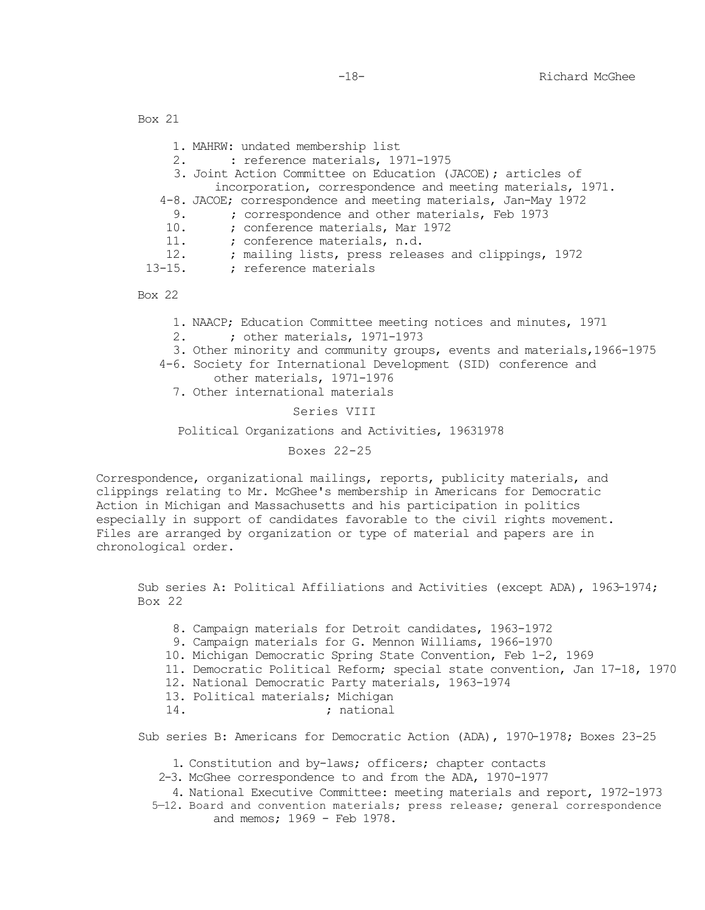|             | 1. MAHRW: undated membership list                              |
|-------------|----------------------------------------------------------------|
|             | : reference materials, 1971-1975<br>2.                         |
|             | 3. Joint Action Committee on Education (JACOE); articles of    |
|             | incorporation, correspondence and meeting materials, 1971.     |
|             | 4-8. JACOE; correspondence and meeting materials, Jan-May 1972 |
| 9.          | ; correspondence and other materials, Feb 1973                 |
| 10.         | ; conference materials, Mar 1972                               |
| 11.         | ; conference materials, n.d.                                   |
| 12.         | ; mailing lists, press releases and clippings, 1972            |
| $13 - 15$ . | : reference materials                                          |
|             |                                                                |

Box 22

- 1. NAACP; Education Committee meeting notices and minutes, 1971<br>2. : other materials, 1971-1973
- 2. ; other materials, 1971-1973
- 3. Other minority and community groups, events and materials,1966-1975
- 4-6. Society for International Development (SID) conference and other materials, 1971-1976
	- 7. Other international materials

#### Series VIII

#### Political Organizations and Activities, 19631978

### Boxes 22-25

Correspondence, organizational mailings, reports, publicity materials, and clippings relating to Mr. McGhee's membership in Americans for Democratic Action in Michigan and Massachusetts and his participation in politics especially in support of candidates favorable to the civil rights movement. Files are arranged by organization or type of material and papers are in chronological order.

Sub series A: Political Affiliations and Activities (except ADA), 1963-1974; Box 22

- 8. Campaign materials for Detroit candidates, 1963-1972
- 9. Campaign materials for G. Mennon Williams, 1966-1970
- 10. Michigan Democratic Spring State Convention, Feb 1-2, 1969
- 11. Democratic Political Reform; special state convention, Jan 17-18, 1970
- 12. National Democratic Party materials, 1963-1974
- 13. Political materials; Michigan
- ; national

Sub series B: Americans for Democratic Action (ADA), 1970-1978; Boxes 23-25

- 1. Constitution and by-laws; officers; chapter contacts
- 2-3. McGhee correspondence to and from the ADA, 1970-1977
- 4. National Executive Committee: meeting materials and report, 1972-1973
- 5—12. Board and convention materials; press release; general correspondence and memos; 1969 - Feb 1978.